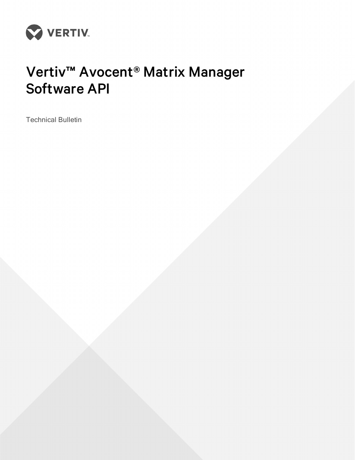

# Vertiv™ Avocent® Matrix Manager Software API

Technical Bulletin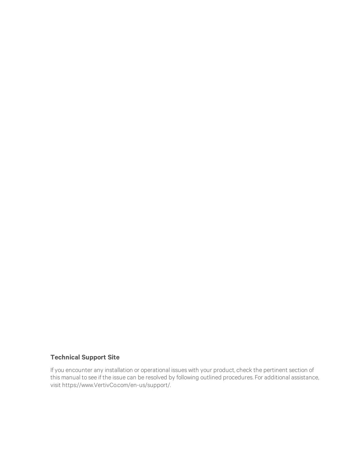# **Technical Support Site**

If you encounter any installation or operational issues with your product, check the pertinent section of this manual to see if the issue can be resolved by following outlined procedures. For additional assistance, visit https://www.VertivCo.com/en-us/support/.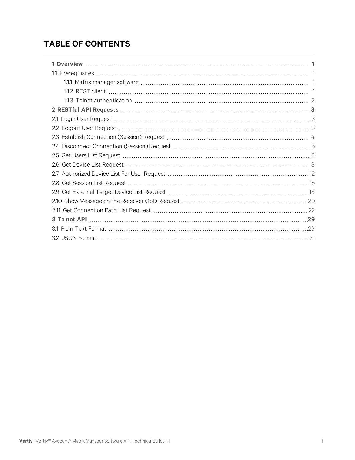# **TABLE OF CONTENTS**

| 2.6 |  |
|-----|--|
|     |  |
|     |  |
| 2.9 |  |
|     |  |
|     |  |
|     |  |
|     |  |
|     |  |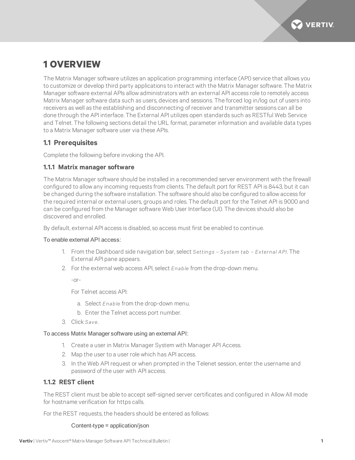

# <span id="page-4-0"></span>**1 OVERVIEW**

The Matrix Manager software utilizes an application programming interface (API) service that allows you to customize or develop third party applications to interact with the Matrix Manager software. The Matrix Manager software external APIs allow administrators with an external API access role to remotely access Matrix Manager software data such as users, devices and sessions. The forced log in/log out of users into receivers as well as the establishing and disconnecting of receiver and transmitter sessions can all be done through the API interface. The External API utilizes open standards such as RESTful Web Service and Telnet. The following sections detail the URL format, parameter information and available data types to a Matrix Manager software user via these APIs.

# <span id="page-4-1"></span>**1.1 Prerequisites**

<span id="page-4-2"></span>Complete the following before invoking the API.

# **1.1.1 Matrix manager software**

The Matrix Manager software should be installed in a recommended server environment with the firewall configured to allow any incoming requests from clients. The default port for REST API is 8443, but it can be changed during the software installation. The software should also be configured to allow access for the required internal or external users, groups and roles. The default port for the Telnet API is 9000 and can be configured from the Manager software Web User Interface (UI). The devices should also be discovered and enrolled.

By default, external API access is disabled, so access must first be enabled to continue.

#### To enable external API access:

- 1. From the Dashboard side navigation bar, select *Setting s – System tab – Extern al API*. The External API pane appears.
- 2. For the external web access API, select *En ab le* from the drop-down menu.

 $-0r-$ 

For Telnet access API:

- a. Select *En ab le* from the drop-down menu.
- b. Enter the Telnet access port number.
- 3. Click *Save*.

#### To access Matrix Manager software using an external API:

- 1. Create a user in Matrix Manager System with Manager API Access.
- 2. Map the user to a user role which has API access.
- 3. In the Web API request or when prompted in the Telenet session, enter the username and password of the user with API access.

### <span id="page-4-3"></span>**1.1.2 REST client**

The REST client must be able to accept self-signed server certificates and configured in Allow All mode for hostname verification for https calls.

For the REST requests, the headers should be entered as follows:

#### Content-type = application/json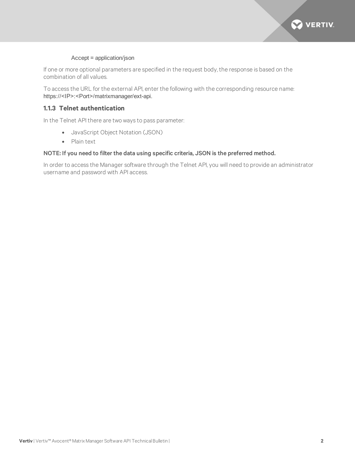

#### Accept = application/json

If one or more optional parameters are specified in the request body, the response is based on the combination of all values.

To access the URL for the external API, enter the following with the corresponding resource name: https://<IP>:<Port>/matrixmanager/ext-api.

### <span id="page-5-0"></span>**1.1.3 Telnet authentication**

In the Telnet API there are two ways to pass parameter:

- JavaScript Object Notation (JSON)
- Plain text

#### NOTE: If you need to filter the data using specific criteria, JSON is the preferred method.

In order to access the Manager software through the Telnet API, you will need to provide an administrator username and password with API access.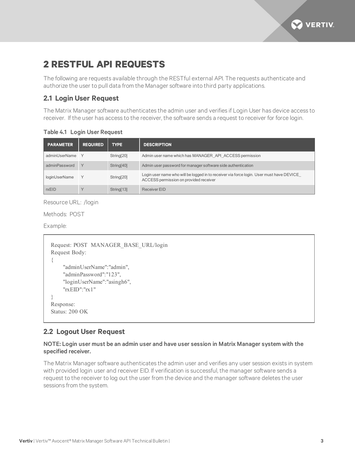**VERTIV** 

# <span id="page-6-0"></span>**2 RESTFUL API REQUESTS**

The following are requests available through the RESTful external API. The requests authenticate and authorize the user to pull data from the Manager software into third party applications.

# <span id="page-6-1"></span>**2.1 Login User Request**

The Matrix Manager software authenticates the admin user and verifies if Login User has device access to receiver. If the user has access to the receiver, the software sends a request to receiver for force login.

| <b>PARAMETER</b> | <b>REQUIRED</b> | <b>TYPE</b> | <b>DESCRIPTION</b>                                                                                                                 |
|------------------|-----------------|-------------|------------------------------------------------------------------------------------------------------------------------------------|
| adminUserName Y  |                 | String[20]  | Admin user name which has MANAGER API ACCESS permission                                                                            |
| adminPassword    |                 | String[40]  | Admin user password for manager software side authentication                                                                       |
| loginUserName    | Y               | String[20]  | Login user name who will be logged in to receiver via force login. User must have DEVICE<br>ACCESS permission on provided receiver |
| rxEID            |                 | String[13]  | Receiver EID                                                                                                                       |

Table 4.1 Login User Request

Resource URL: /login

Methods: POST

Example:

```
Request: POST  MANAGER_BASE_URL/login
Request Body:
{ 
    "adminUserName":"admin",
    "adminPassword":"123",
    "loginUserName":"asingh6",
    "rxEID":"rx1"
}
Response:
Status: 200 OK
```
# <span id="page-6-2"></span>**2.2 Logout User Request**

#### NOTE: Login user must be an admin user and have user session in Matrix Manager system with the specified receiver.

The Matrix Manager software authenticates the admin user and verifies any user session exists in system with provided login user and receiver EID. If verification is successful, the manager software sends a request to the receiver to log out the user from the device and the manager software deletes the user sessions from the system.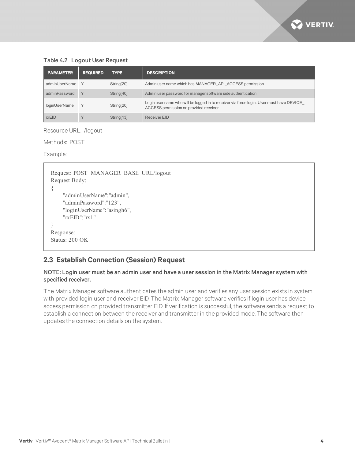

Table 4.2 Logout User Request

| <b>PARAMETER</b> | <b>REQUIRED</b> | <b>TYPE</b> | <b>DESCRIPTION</b>                                                                                                                 |
|------------------|-----------------|-------------|------------------------------------------------------------------------------------------------------------------------------------|
| adminUserName Y  |                 | String[20]  | Admin user name which has MANAGER API ACCESS permission                                                                            |
| adminPassword    |                 | String[40]  | Admin user password for manager software side authentication                                                                       |
| loginUserName    |                 | String[20]  | Login user name who will be logged in to receiver via force login. User must have DEVICE<br>ACCESS permission on provided receiver |
| <b>rxEID</b>     |                 | String[13]  | Receiver EID                                                                                                                       |

Resource URL: /logout

Methods: POST

Example:

```
Request: POST  MANAGER_BASE_URL/logout
Request Body:
{ 
    "adminUserName":"admin",
    "adminPassword":"123",
    "loginUserName":"asingh6",
    "rxEID":"rx1"
}
Response:
Status: 200 OK
```
# <span id="page-7-0"></span>**2.3 Establish Connection (Session) Request**

#### NOTE: Login user must be an admin user and have a user session in the Matrix Manager system with specified receiver.

The Matrix Manager software authenticates the admin user and verifies any user session exists in system with provided login user and receiver EID. The Matrix Manager software verifies if login user has device access permission on provided transmitter EID. If verification is successful, the software sends a request to establish a connection between the receiver and transmitter in the provided mode. The software then updates the connection details on the system.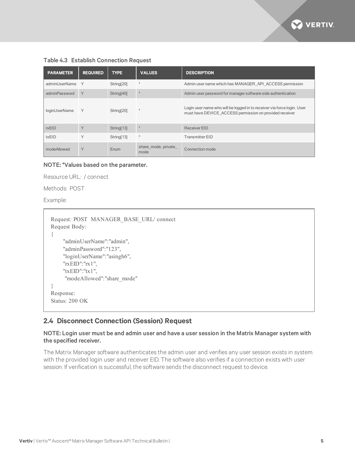

| <b>PARAMETER</b> | <b>REQUIRED</b> | <b>TYPE</b> | <b>VALUES</b>               | <b>DESCRIPTION</b>                                                                                                                 |
|------------------|-----------------|-------------|-----------------------------|------------------------------------------------------------------------------------------------------------------------------------|
| adminUserName Y  |                 | String[20]  | $\star$                     | Admin user name which has MANAGER API ACCESS permission                                                                            |
| adminPassword    | Y               | String[40]  | $\star$                     | Admin user password for manager software side authentication                                                                       |
| loginUserName    | Y               | String[20]  | $\star$                     | Login user name who will be logged in to receiver via force login. User<br>must have DEVICE ACCESS permission on provided receiver |
| rxEID            | Y               | String[13]  | $\star$                     | Receiver EID                                                                                                                       |
| txEID            | Y               | String[13]  | $\star$                     | <b>Transmitter EID</b>                                                                                                             |
| modeAllowed      | Υ               | Enum        | share mode, private<br>mode | Connection mode                                                                                                                    |

Table 4.3 Establish Connection Request

#### NOTE: \*Values based on the parameter.

Resource URL: / connect

Methods: POST

Example:

```
Request: POST  MANAGER_BASE_URL/ connect
Request Body:
{ 
    "adminUserName":"admin",
    "adminPassword":"123",
    "loginUserName":"asingh6",
    "rxEID":"rx1",
    "txEID":"tx1",
     "modeAllowed":"share_mode"
}
Response:
Status: 200 OK
```
### <span id="page-8-0"></span>**2.4 Disconnect Connection (Session) Request**

NOTE: Login user must be and admin user and have a user session in the Matrix Manager system with the specified receiver.

The Matrix Manager software authenticates the admin user and verifies any user session exists in system with the provided login user and receiver EID. The software also verifies if a connection exists with user session. If verification is successful, the software sends the disconnect request to device.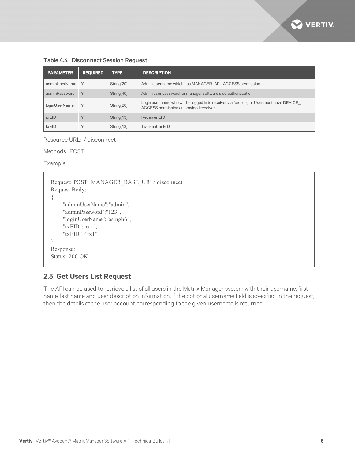

Table 4.4 Disconnect Session Request

| <b>PARAMETER</b> | <b>REQUIRED</b> | <b>TYPE</b> | <b>DESCRIPTION</b>                                                                                                                 |
|------------------|-----------------|-------------|------------------------------------------------------------------------------------------------------------------------------------|
| adminUserName Y  |                 | String[20]  | Admin user name which has MANAGER API ACCESS permission                                                                            |
| adminPassword    | Υ               | String[40]  | Admin user password for manager software side authentication                                                                       |
| loginUserName    | Y               | String[20]  | Login user name who will be logged in to receiver via force login. User must have DEVICE<br>ACCESS permission on provided receiver |
| rxEID            | $\vee$          | String[13]  | Receiver EID                                                                                                                       |
| txEID            |                 | String[13]  | <b>Transmitter EID</b>                                                                                                             |

Resource URL: / disconnect

Methods: POST

Example:

```
Request: POST  MANAGER_BASE_URL/ disconnect
Request Body:
{ 
    "adminUserName":"admin",
    "adminPassword":"123",
    "loginUserName":"asingh6",
    "rxEID":"rx1",
    "txEID" :"tx1"
}
Response:
Status: 200 OK
```
# <span id="page-9-0"></span>**2.5 Get Users List Request**

The API can be used to retrieve a list of all users in the Matrix Manager system with their username, first name, last name and user description information. If the optional username field is specified in the request, then the details of the user account corresponding to the given username is returned.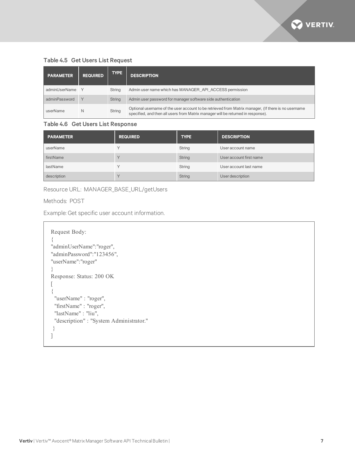

#### Table 4.5 Get Users List Request

| <b>PARAMETER</b> | <b>REQUIRED</b> | <b>TYPE</b>   | <b>DESCRIPTION</b>                                                                                                                                                                      |
|------------------|-----------------|---------------|-----------------------------------------------------------------------------------------------------------------------------------------------------------------------------------------|
| adminUserName Y  |                 | String        | Admin user name which has MANAGER API ACCESS permission                                                                                                                                 |
| adminPassword    |                 | <b>String</b> | Admin user password for manager software side authentication                                                                                                                            |
| userName         | N               | String        | Optional username of the user account to be retrieved from Matrix manager, (If there is no username<br>specified, and then all users from Matrix manager will be returned in response). |

#### Table 4.6 Get Users List Response

| <b>PARAMETER</b> | <b>REQUIRED</b> | <b>TYPE</b> | <b>DESCRIPTION</b>      |
|------------------|-----------------|-------------|-------------------------|
| userName         | $\vee$          | String      | User account name       |
| firstName        | $\checkmark$    | String      | User account first name |
| lastName         |                 | String      | User account last name  |
| description      |                 | String      | User description        |

Resource URL: MANAGER\_BASE\_URL/getUsers

Methods: POST

Example: Get specific user account information.

```
Request Body:
{
"adminUserName":"roger",
"adminPassword":"123456",
"userName":"roger"
}
Response: Status: 200 OK
\Gamma{
 "userName" : "roger",
 "firstName" : "roger",
 "lastName" : "liu",
 "description" : "System Administrator."
}
]
```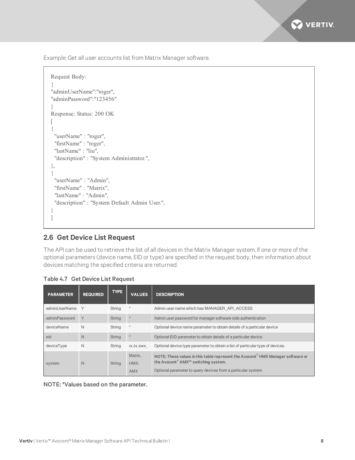

Example: Get all user accounts list from Matrix Manager software.

```
Request Body:
{
"adminUserName":"roger",
"adminPassword":"123456"
}
Response: Status: 200 OK
[ 
{
 "userName" : "roger",
 "firstName" : "roger",
 "lastName" : "liu",
 "description" : "System Administrator.",
},
{
 "userName" : "Admin",
 "firstName" : "Matrix",
 "lastName" : "Admin",
 "description" : "System Default Admin User.",
}
]
```
# <span id="page-11-0"></span>**2.6 Get Device List Request**

The API can be used to retrieve the list of all devices in the Matrix Manager system. If one or more of the optional parameters (device name, EID or type) are specified in the request body, then information about devices matching the specified criteria are returned.

| <b>PARAMETER</b> | <b>REQUIRED</b> | <b>TYPE</b>   | <b>VALUES</b>                 | <b>DESCRIPTION</b>                                                                                                                                                                                                         |
|------------------|-----------------|---------------|-------------------------------|----------------------------------------------------------------------------------------------------------------------------------------------------------------------------------------------------------------------------|
| adminUserName Y  |                 | String        | $\ast$                        | Admin user name which has MANAGER API ACCESS                                                                                                                                                                               |
| adminPassword    | Y               | String        | $\ast$                        | Admin user password for manager software side authentication                                                                                                                                                               |
| deviceName       | N               | String        | $\star$                       | Optional device name parameter to obtain details of a particular device                                                                                                                                                    |
| eid              | N               | String        | $\star$                       | Optional EID parameter to obtain details of a particular device                                                                                                                                                            |
| deviceType       | N               | String        | IX, tx, swx,                  | Optional device type parameter to obtain a list of particular type of devices.                                                                                                                                             |
| system           | N               | <b>String</b> | Matrix.<br>HMX.<br><b>AMX</b> | NOTE: These values in this table represent the Avocent <sup>®</sup> HMX Manager software or<br>the Avocent <sup>®</sup> AMX <sup>™</sup> switching system.<br>Optional parameter to query devices from a particular system |

Table 4.7 Get Device List Request

NOTE: \*Values based on the parameter.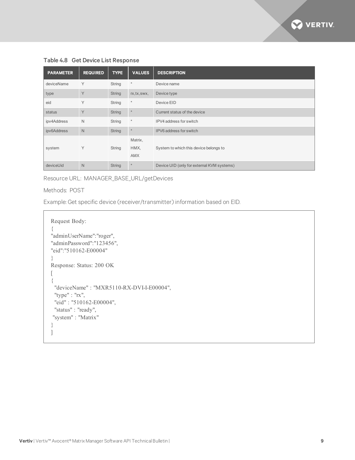

| <b>PARAMETER</b> | <b>REQUIRED</b> | <b>TYPE</b>   | <b>VALUES</b>          | <b>DESCRIPTION</b>                         |
|------------------|-----------------|---------------|------------------------|--------------------------------------------|
| deviceName       | Y               | String        | $\star$                | Device name                                |
| type             | Y               | <b>String</b> | $TX,$ tx, swx,         | Device type                                |
| eid              | Y               | String        | $\star$                | Device EID                                 |
| status           | Y               | String        | $^\star$               | Current status of the device               |
| ipv4Address      | $\mathsf{N}$    | String        | $^\star$               | IPV4 address for switch                    |
| ipv6Address      | N               | String        | $\star$                | IPV6 address for switch                    |
| system           | Y               | String        | Matrix,<br>HMX,<br>AMX | System to which this device belongs to     |
| deviceUid        | N               | String        | $\star$                | Device UID (only for external KVM systems) |

Table 4.8 Get Device List Response

Resource URL: MANAGER\_BASE\_URL/getDevices

Methods: POST

Example: Get specific device (receiver/transmitter) information based on EID.

```
Request Body:
{
"adminUserName":"roger",
"adminPassword":"123456",
"eid":"510162-E00004"
}
Response: Status: 200 OK
[ 
{
 "deviceName" : "MXR5110-RX-DVI-I-E00004",
 "type" : "rx",
 "eid" : "510162-E00004",
 "status" : "ready",
"system" : "Matrix"
}
]
```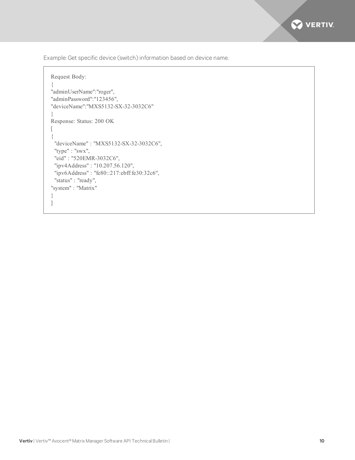

Example: Get specific device (switch) information based on device name.

```
Request Body:
{
"adminUserName":"roger",
"adminPassword":"123456",
"deviceName":"MXS5132-SX-32-3032C6"
}
Response: Status: 200 OK
[ 
{
 "deviceName" : "MXS5132-SX-32-3032C6",
 "type" : "swx",
 "eid" : "520EMR-3032C6",
 "ipv4Address" : "10.207.56.120",
 "ipv6Address" : "fe80::217:ebff:fe30:32c6",
 "status" : "ready",
"system" : "Matrix"
}
]
```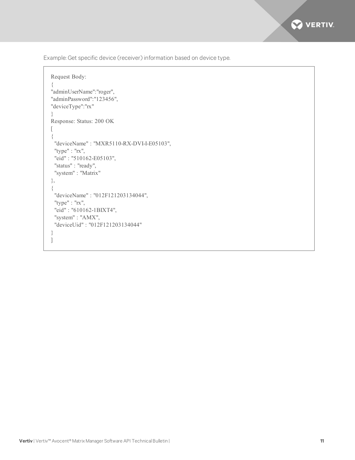

Example: Get specific device (receiver) information based on device type.

```
Request Body:
{
"adminUserName":"roger",
"adminPassword":"123456",
"deviceType":"rx"
}
Response: Status: 200 OK
[ 
{
 "deviceName" : "MXR5110-RX-DVI-I-E05103",
 "type" : "rx",
 "eid" : "510162-E05103",
 "status" : "ready",
 "system" : "Matrix"
},
{
 "deviceName" : "012F121203134044",
 "type" : "rx",
 "eid" : "610162-1BIXT4",
 "system" : "AMX",
 "deviceUid" : "012F121203134044"
}
]
```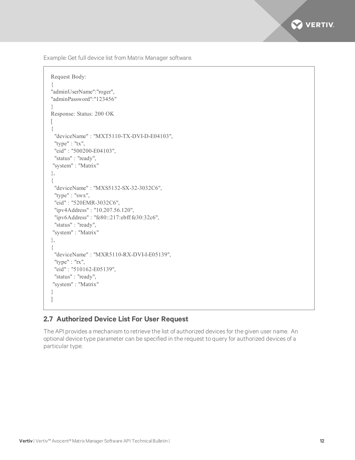

Example: Get full device list from Matrix Manager software.

```
Request Body:
{
"adminUserName":"roger",
"adminPassword":"123456"
}
Response: Status: 200 OK
\Gamma{
 "deviceName" : "MXT5110-TX-DVI-D-E04103",
 "type" : "tx",
 "eid" : "500200-E04103",
 "status" : "ready",
"system" : "Matrix"
},
{
 "deviceName" : "MXS5132-SX-32-3032C6",
 "type" : "swx",
 "eid" : "520EMR-3032C6",
 "ipv4Address" : "10.207.56.120",
 "ipv6Address" : "fe80::217:ebff:fe30:32c6",
 "status" : "ready",
"system" : "Matrix"
},
{
 "deviceName" : "MXR5110-RX-DVI-I-E05139",
 "type" : "rx",
 "eid" : "510162-E05139",
 "status" : "ready",
"system" : "Matrix"
}
]
```
# <span id="page-15-0"></span>**2.7 Authorized Device List For User Request**

The API provides a mechanism to retrieve the list of authorized devices for the given user name. An optional device type parameter can be specified in the request to query for authorized devices of a particular type.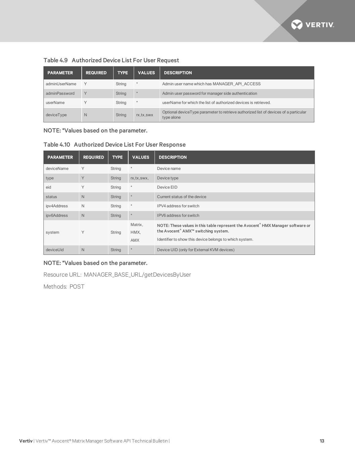

| <b>PARAMETER</b> | <b>REQUIRED</b> | <b>TYPE</b>   | <b>VALUES</b> | <b>DESCRIPTION</b>                                                                                 |  |  |  |  |
|------------------|-----------------|---------------|---------------|----------------------------------------------------------------------------------------------------|--|--|--|--|
| adminUserName    | ∨               | String        | $\star$       | Admin user name which has MANAGER API ACCESS                                                       |  |  |  |  |
| adminPassword    | Y               | String        | $\star$       | Admin user password for manager side authentication                                                |  |  |  |  |
| userName         |                 | String        | $\star$       | userName for which the list of authorized devices is retrieved.                                    |  |  |  |  |
| deviceType       | N               | <b>String</b> | rx, tx, swx   | Optional deviceType parameter to retrieve authorized list of devices of a particular<br>type alone |  |  |  |  |

Table 4.9 Authorized Device List For User Request

NOTE: \*Values based on the parameter.

Table 4.10 Authorized Device List For User Response

| <b>PARAMETER</b> | <b>REQUIRED</b> | <b>TYPE</b>   | <b>VALUES</b>                 | <b>DESCRIPTION</b>                                                                                                                                                                                                    |
|------------------|-----------------|---------------|-------------------------------|-----------------------------------------------------------------------------------------------------------------------------------------------------------------------------------------------------------------------|
| deviceName       | Υ               | String        | $\star$                       | Device name                                                                                                                                                                                                           |
| type             | Y               | <b>String</b> | rx, tx, swx,                  | Device type                                                                                                                                                                                                           |
| eid              | Y               | String        | $^\star$                      | Device EID                                                                                                                                                                                                            |
| status           | N               | <b>String</b> | $\ast$                        | Current status of the device                                                                                                                                                                                          |
| ipv4Address      | $\mathsf{N}$    | String        | $\star$                       | IPV4 address for switch                                                                                                                                                                                               |
| ipv6Address      | N               | <b>String</b> | $\star$                       | IPV6 address for switch                                                                                                                                                                                               |
| system           | Υ               | String        | Matrix,<br>HMX,<br><b>AMX</b> | NOTE: These values in this table represent the Avocent <sup>®</sup> HMX Manager software or<br>the Avocent <sup>®</sup> AMX <sup>™</sup> switching system.<br>Identifier to show this device belongs to which system. |
| deviceUid        | N               | String        | $\star$                       | Device UID (only for External KVM devices)                                                                                                                                                                            |

# NOTE: \*Values based on the parameter.

Resource URL: MANAGER\_BASE\_URL/getDevicesByUser

Methods: POST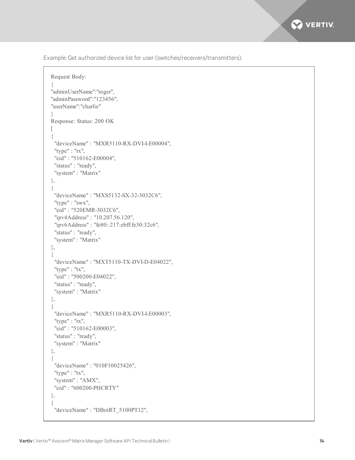

Example: Get authorized device list for user (switches/receivers/transmitters).

```
Request Body:
{
"adminUserName":"roger",
"adminPassword":"123456",
"userName":"charlie"
}
Response: Status: 200 OK
[ 
{
 "deviceName" : "MXR5110-RX-DVI-I-E00004",
 "type" : "rx",
 "eid" : "510162-E00004",
 "status" : "ready",
 "system" : "Matrix"
},
{
 "deviceName" : "MXS5132-SX-32-3032C6",
 "type" : "swx",
 "eid" : "520EMR-3032C6",
 "ipv4Address" : "10.207.56.120",
 "ipv6Address" : "fe80::217:ebff:fe30:32c6",
 "status" : "ready",
 "system" : "Matrix"
},
{
 "deviceName" : "MXT5110-TX-DVI-D-E04022",
 "type" : "tx",
 "eid" : "500200-E04022",
 "status" : "ready",
 "system" : "Matrix"
},
{
 "deviceName" : "MXR5110-RX-DVI-I-E00003",
 "type" : "rx",
 "eid" : "510162-E00003",
 "status" : "ready",
 "system" : "Matrix"
},
{
 "deviceName" : "010F10025426",
 "type" : "tx",
 "system" : "AMX",
 "eid" : "600200-PHCRTY"
},
{
 "deviceName" : "DBotRT_5100PT12",
```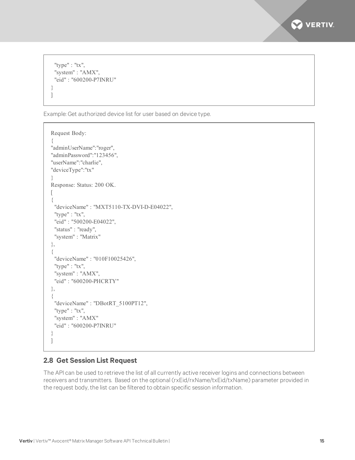

```
"type" : "tx",
 "system" : "AMX",
 "eid" : "600200-P7INRU"
}
]
```
Example: Get authorized device list for user based on device type.

```
Request Body:
{
"adminUserName":"roger",
"adminPassword":"123456",
"userName":"charlie",
"deviceType":"tx"
}
Response: Status: 200 OK.
[ 
{
 "deviceName" : "MXT5110-TX-DVI-D-E04022",
 "type" : "tx",
 "eid" : "500200-E04022",
 "status" : "ready",
 "system" : "Matrix"
},
{
 "deviceName" : "010F10025426",
 "type" : "tx",
 "system" : "AMX",
 "eid" : "600200-PHCRTY"
},
{
 "deviceName" : "DBotRT_5100PT12",
 "type" : "tx",
 "system" : "AMX"
 "eid" : "600200-P7INRU"
}
]
```
# <span id="page-18-0"></span>**2.8 Get Session List Request**

The API can be used to retrieve the list of all currently active receiver logins and connections between receivers and transmitters. Based on the optional (rxEid/rxName/txEid/txName) parameter provided in the request body, the list can be filtered to obtain specific session information.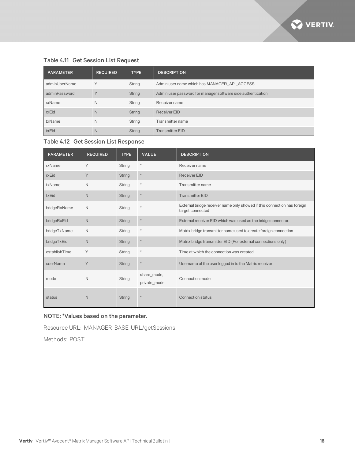

#### Table 4.11 Get Session List Request

| <b>PARAMETER</b> | <b>REQUIRED</b> | <b>TYPE</b>   | <b>DESCRIPTION</b>                                           |
|------------------|-----------------|---------------|--------------------------------------------------------------|
| adminUserName    | Y               | String        | Admin user name which has MANAGER API ACCESS                 |
| adminPassword    | Y               | <b>String</b> | Admin user password for manager software side authentication |
| rxName           | N               | String        | Receiver name                                                |
| rxEid            | N               | <b>String</b> | Receiver EID                                                 |
| txName           | N               | String        | Transmitter name                                             |
| txEid            | N               | <b>String</b> | <b>Transmitter EID</b>                                       |

#### Table 4.12 Get Session List Response

| <b>PARAMETER</b> | <b>REQUIRED</b> | <b>TYPE</b> | <b>VALUE</b>                | <b>DESCRIPTION</b>                                                                           |
|------------------|-----------------|-------------|-----------------------------|----------------------------------------------------------------------------------------------|
| rxName           | Υ               | String      | $\star$                     | Receiver name                                                                                |
| rxEid            | Y               | String      | $\star$                     | Receiver EID                                                                                 |
| txName           | N               | String      | $^{\star}$                  | Transmitter name                                                                             |
| txEid            | N               | String      | $\star$                     | <b>Transmitter EID</b>                                                                       |
| bridgeRxName     | N               | String      | $\star$                     | External bridge receiver name only showed if this connection has foreign<br>target connected |
| bridgeRxEid      | $\mathsf{N}$    | String      | $\star$                     | External receiver EID which was used as the bridge connector.                                |
| bridgeTxName     | $\mathsf{N}$    | String      | $\star$                     | Matrix bridge transmitter name used to create foreign connection                             |
| bridgeTxEid      | N               | String      | $\star$                     | Matrix bridge transmitter EID (For external connections only)                                |
| establishTime    | Y               | String      | $^{\star}$                  | Time at which the connection was created                                                     |
| userName         | Y               | String      | $\star$                     | Username of the user logged in to the Matrix receiver                                        |
| mode             | $\mathsf{N}$    | String      | share mode,<br>private mode | Connection mode                                                                              |
| status           | N               | String      | $\star$                     | <b>Connection status</b>                                                                     |

#### NOTE: \*Values based on the parameter.

Resource URL: MANAGER\_BASE\_URL/getSessions

Methods: POST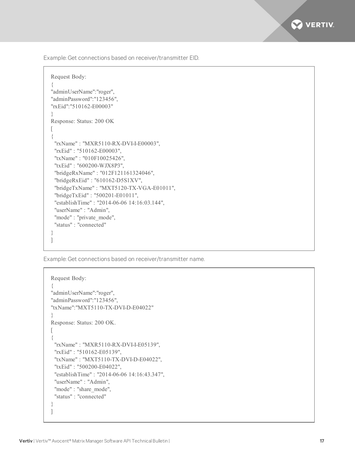

Example: Get connections based on receiver/transmitter EID.

```
Request Body:
{
"adminUserName":"roger",
"adminPassword":"123456",
"rxEid":"510162-E00003"
}
Response: Status: 200 OK
[ 
{
 "rxName" : "MXR5110-RX-DVI-I-E00003",
 "rxEid" : "510162-E00003",
 "txName" : "010F10025426",
 "txEid" : "600200-WJX8P3",
 "bridgeRxName" : "012F121161324046",
 "bridgeRxEid" : "610162-D5S1XV",
 "bridgeTxName" : "MXT5120-TX-VGA-E01011",
 "bridgeTxEid" : "500201-E01011",
 "establishTime" : "2014-06-06 14:16:03.144",
 "userName" : "Admin",
 "mode" : "private mode",
 "status" : "connected"
}
]
```
Example: Get connections based on receiver/transmitter name.

```
Request Body:
\{"adminUserName":"roger",
"adminPassword":"123456",
"txName":"MXT5110-TX-DVI-D-E04022"
}
Response: Status: 200 OK.
[ 
{
 "rxName" : "MXR5110-RX-DVI-I-E05139",
 "rxEid" : "510162-E05139",
 "txName" : "MXT5110-TX-DVI-D-E04022",
 "txEid" : "500200-E04022",
 "establishTime" : "2014-06-06 14:16:43.347",
 "userName" : "Admin",
 "mode" : "share_mode",
 "status" : "connected"
}
]
```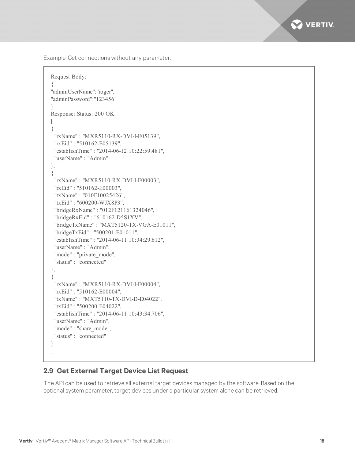

Example: Get connections without any parameter.

```
Request Body:
{
"adminUserName":"roger",
"adminPassword":"123456"
}
Response: Status: 200 OK.
[ 
{
 "rxName" : "MXR5110-RX-DVI-I-E05139",
 "rxEid" : "510162-E05139",
 "establishTime" : "2014-06-12 10:22:59.481",
 "userName" : "Admin"
},
{
 "rxName" : "MXR5110-RX-DVI-I-E00003",
 "rxEid" : "510162-E00003",
 "txName" : "010F10025426",
 "txEid" : "600200-WJX8P3",
 "bridgeRxName" : "012F121161324046",
 "bridgeRxEid" : "610162-D5S1XV",
 "bridgeTxName" : "MXT5120-TX-VGA-E01011",
 "bridgeTxEid" : "500201-E01011",
 "establishTime" : "2014-06-11 10:34:29.612",
 "userName" : "Admin",
 "mode" : "private_mode",
 "status" : "connected"
},
{
 "rxName" : "MXR5110-RX-DVI-I-E00004",
 "rxEid" : "510162-E00004",
 "txName" : "MXT5110-TX-DVI-D-E04022",
 "txEid" : "500200-E04022",
 "establishTime" : "2014-06-11 10:43:34.706",
 "userName" : "Admin",
 "mode" : "share_mode",
 "status" : "connected"
}
]
```
# <span id="page-21-0"></span>**2.9 Get External Target Device List Request**

The API can be used to retrieve all external target devices managed by the software. Based on the optional system parameter, target devices under a particular system alone can be retrieved.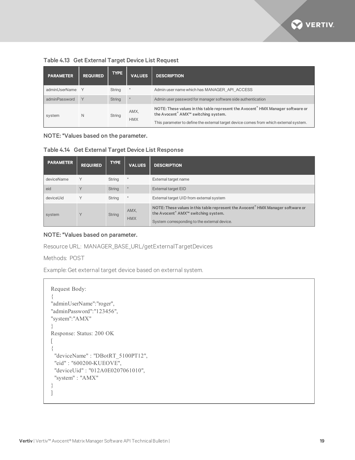

| <b>PARAMETER</b> | <b>REQUIRED</b> | <b>TYPE</b>   | <b>VALUES</b>      | <b>DESCRIPTION</b>                                                                                                                 |
|------------------|-----------------|---------------|--------------------|------------------------------------------------------------------------------------------------------------------------------------|
| adminUserName Y  |                 | String        | $\ast$             | Admin user name which has MANAGER API ACCESS                                                                                       |
| adminPassword    |                 | <b>String</b> |                    | Admin user password for manager software side authentication                                                                       |
| system           | N               | String        | AMX,<br><b>HMX</b> | NOTE: These values in this table represent the Avocent <sup>®</sup> HMX Manager software or<br>the Avocent® AMX™ switching system. |
|                  |                 |               |                    | This parameter to define the external target device comes from which external system.                                              |

Table 4.13 Get External Target Device List Request

NOTE: \*Values based on the parameter.

|  |  |  | Table 4.14 Get External Target Device List Response |
|--|--|--|-----------------------------------------------------|
|--|--|--|-----------------------------------------------------|

| <b>PARAMETER</b> | <b>REQUIRED</b> | <b>TYPE</b>   | <b>VALUES</b>      | <b>DESCRIPTION</b>                                                                                                                                                                                         |
|------------------|-----------------|---------------|--------------------|------------------------------------------------------------------------------------------------------------------------------------------------------------------------------------------------------------|
| deviceName       | Υ               | String        |                    | External target name                                                                                                                                                                                       |
| eid              | Υ               | <b>String</b> |                    | <b>External target EID</b>                                                                                                                                                                                 |
| deviceUid        | Υ               | String        |                    | External target UID from external system                                                                                                                                                                   |
| system           | Υ               | String        | AMX,<br><b>HMX</b> | NOTE: These values in this table represent the Avocent <sup>®</sup> HMX Manager software or<br>the Avocent <sup>®</sup> AMX <sup>™</sup> switching system.<br>System corresponding to the external device. |

#### NOTE: \*Values based on parameter.

Resource URL: MANAGER\_BASE\_URL/getExternalTargetDevices

Methods: POST

Example: Get external target device based on external system.

```
Request Body:
{
"adminUserName":"roger",
"adminPassword":"123456",
"system":"AMX"
}
Response: Status: 200 OK
[ 
{
 "deviceName" : "DBotRT_5100PT12",
 "eid" : "600200-KUEOVE",
 "deviceUid" : "012A0E0207061010",
 "system" : "AMX"
}
]
```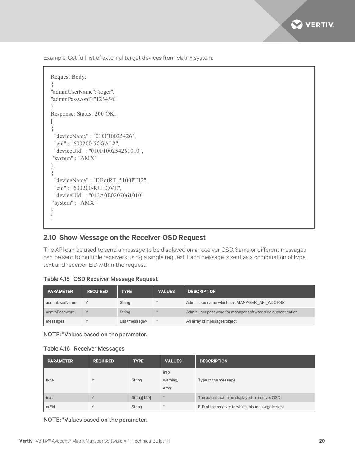

Example: Get full list of external target devices from Matrix system.

```
Request Body:
{
"adminUserName":"roger",
"adminPassword":"123456"
}
Response: Status: 200 OK.
[ 
{
 "deviceName" : "010F10025426",
 "eid" : "600200-5CGAL2",
 "deviceUid" : "010F100254261010",
"system" : "AMX"
},
{
 "deviceName" : "DBotRT_5100PT12",
 "eid" : "600200-KUEOVE",
 "deviceUid" : "012A0E0207061010"
"system" : "AMX"
}
]
```
# <span id="page-23-0"></span>**2.10 Show Message on the Receiver OSD Request**

The API can be used to send a message to be displayed on a receiver OSD. Same or different messages can be sent to multiple receivers using a single request. Each message is sent as a combination of type, text and receiver EID within the request.

#### Table 4.15 OSD Receiver Message Request

| <b>PARAMETER</b> | <b>REQUIRED</b> | <b>TYPE</b>              | <b>VALUES</b> | <b>DESCRIPTION</b>                                           |
|------------------|-----------------|--------------------------|---------------|--------------------------------------------------------------|
| adminUserName    |                 | String                   |               | Admin user name which has MANAGER API ACCESS                 |
| adminPassword    |                 | <b>String</b>            |               | Admin user password for manager software side authentication |
| messages         |                 | List <message></message> |               | An array of messages object                                  |

NOTE: \*Values based on the parameter.

| <b>PARAMETER</b> | <b>REQUIRED</b> | <b>TYPE</b> | <b>VALUES</b>              | <b>DESCRIPTION</b>                                |
|------------------|-----------------|-------------|----------------------------|---------------------------------------------------|
| type             |                 | String      | info,<br>warning,<br>error | Type of the message.                              |
| text             | $\vee$          | String[120] |                            | The actual text to be displayed in receiver OSD.  |
| rxEid            |                 | String      | $\star$                    | EID of the receiver to which this message is sent |

NOTE: \*Values based on the parameter.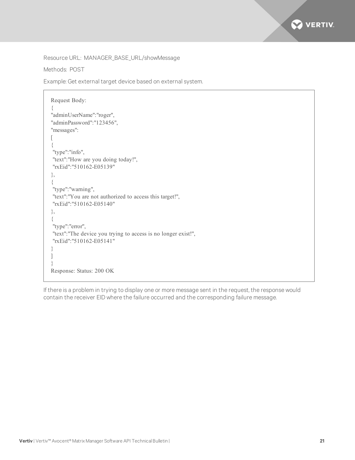

Resource URL: MANAGER\_BASE\_URL/showMessage

Methods: POST

Example: Get external target device based on external system.

```
Request Body:
{
"adminUserName":"roger",
"adminPassword":"123456",
"messages":
[
{
"type":"info",
"text":"How are you doing today!",
"rxEid":"510162-E05139"
},
{
"type":"warning",
"text":"You are not authorized to access this target!",
"rxEid":"510162-E05140"
},
{
"type":"error",
"text":"The device you trying to access is no longer exist!",
"rxEid":"510162-E05141"
}
]
}
Response: Status: 200 OK
```
If there is a problem in trying to display one or more message sent in the request, the response would contain the receiver EID where the failure occurred and the corresponding failure message.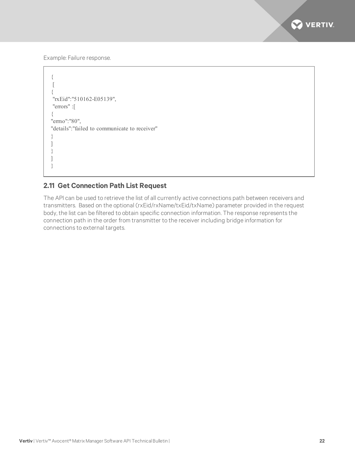

Example: Failure response.

```
{
 [
{
"rxEid":"510162-E05139",
"errors" :[
{
"errno":"80",
"details":"failed to communicate to receiver"
}
]
}
]
}
```
# <span id="page-25-0"></span>**2.11 Get Connection Path List Request**

The API can be used to retrieve the list of all currently active connections path between receivers and transmitters. Based on the optional (rxEid/rxName/txEid/txName) parameter provided in the request body, the list can be filtered to obtain specific connection information. The response represents the connection path in the order from transmitter to the receiver including bridge information for connections to external targets.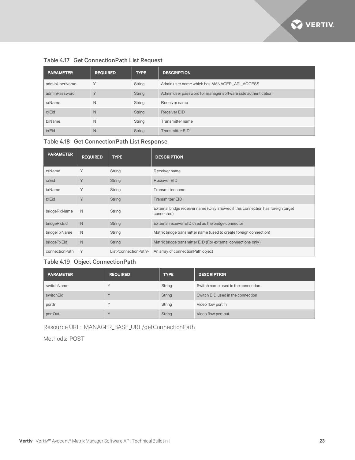

| <b>PARAMETER</b> | <b>REQUIRED</b> | <b>TYPE</b> | <b>DESCRIPTION</b>                                           |
|------------------|-----------------|-------------|--------------------------------------------------------------|
| adminUserName    | ∨               | String      | Admin user name which has MANAGER API ACCESS                 |
| adminPassword    | $\vee$          | String      | Admin user password for manager software side authentication |
| rxName           | N               | String      | Receiver name                                                |
| rxEid            | N               | String      | Receiver EID                                                 |
| txName           | N               | String      | Transmitter name                                             |
| txEid            | N               | String      | <b>Transmitter EID</b>                                       |

# Table 4.18 Get ConnectionPath List Response

| <b>PARAMETER</b> | <b>REQUIRED</b> | <b>TYPE</b>                            | <b>DESCRIPTION</b>                                                                             |
|------------------|-----------------|----------------------------------------|------------------------------------------------------------------------------------------------|
| rxName           | Υ               | String                                 | Receiver name                                                                                  |
| rxEid            | Y               | <b>String</b>                          | Receiver EID                                                                                   |
| txName           | Υ               | String                                 | Transmitter name                                                                               |
| txEid            | Y               | <b>String</b>                          | <b>Transmitter EID</b>                                                                         |
| bridgeRxName     | $\mathbb N$     | String                                 | External bridge receiver name (Only showed if this connection has foreign target<br>connected) |
| bridgeRxEid      | N               | <b>String</b>                          | External receiver EID used as the bridge connector                                             |
| bridgeTxName     | N               | String                                 | Matrix bridge transmitter name (used to create foreign connection)                             |
| bridgeTxEid      | N               | <b>String</b>                          | Matrix bridge transmitter EID (For external connections only)                                  |
| connectionPath   | Υ               | List <connectionpath></connectionpath> | An array of connection Path object                                                             |

# Table 4.19 Object ConnectionPath

| <b>PARAMETER</b> | <b>REQUIRED</b> | <b>TYPE</b> | <b>DESCRIPTION</b>                 |
|------------------|-----------------|-------------|------------------------------------|
| switchName       |                 | String      | Switch name used in the connection |
| switchEid        |                 | String      | Switch EID used in the connection  |
| portln           |                 | String      | Video flow port in                 |
| portOut          |                 | String      | Video flow port out                |

Resource URL: MANAGER\_BASE\_URL/getConnectionPath

Methods: POST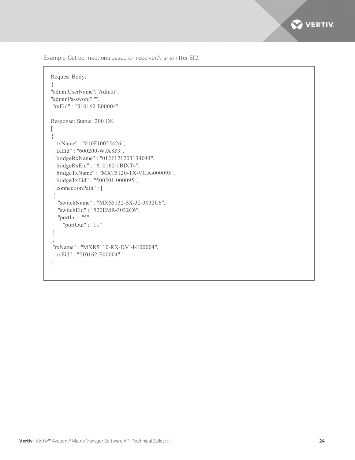

Example: Get connections based on receiver/transmitter EID.

```
Request Body:
{
"adminUserName":"Admin",
"adminPassword":"",
"rxEid" : "510162-E00004"
}
Response: Status: 200 OK
[ 
{
 "txName" : "010F10025426",
 "txEid" : "600200-WJX8P3",
 "bridgeRxName" : "012F121203134044",
 "bridgeRxEid" : "610162-1BIXT4",
 "bridgeTxName" : "MXT5120-TX-VGA-000095",
 "bridgeTxEid" : "500201-000095",
 "connectionPath" : [ 
{
  "switchName" : "MXS5132-SX-32-3032C6",
  "switchEid" : "520EMR-3032C6",
  "portIn" : "5",
    "portOut" : "11"
}
],
"rxName" : "MXR5110-RX-DVI-I-E00004",
 "rxEid" : "510162-E00004"
}
]
```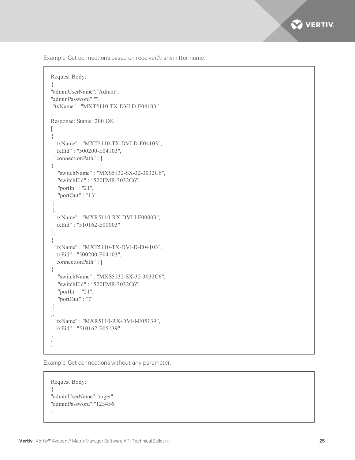

Example: Get connections based on receiver/transmitter name.

```
Request Body:
{
"adminUserName":"Admin",
"adminPassword":"",
"txName" : "MXT5110-TX-DVI-D-E04103"
}
Response: Status: 200 OK.
[ 
{
 "txName" : "MXT5110-TX-DVI-D-E04103",
 "txEid" : "500200-E04103",
 "connectionPath" : [ 
{
  "switchName" : "MXS5132-SX-32-3032C6",
  "switchEid" : "520EMR-3032C6",
  "portIn" : "21",
  "portOut" : "13"
 }
],
 "rxName" : "MXR5110-RX-DVI-I-E00003",
 "rxEid" : "510162-E00003"
},
{
 "txName" : "MXT5110-TX-DVI-D-E04103",
 "txEid" : "500200-E04103",
 "connectionPath" : [ 
{
  "switchName" : "MXS5132-SX-32-3032C6",
  "switchEid" : "520EMR-3032C6",
  "portIn" : "21",
  "portOut" : "7"
}
],
 "rxName" : "MXR5110-RX-DVI-I-E05139",
 "rxEid" : "510162-E05139"
}
]
```
Example: Get connections without any parameter.

```
Request Body:
{
"adminUserName":"roger",
"adminPassword":"123456"
}
```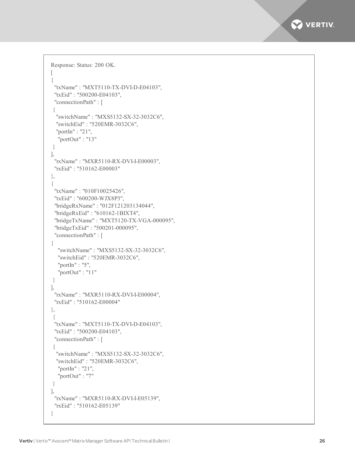

```
Response: Status: 200 OK.
[<br>{
 "txName" : "MXT5110-TX-DVI-D-E04103",
 "txEid" : "500200-E04103",
 "connectionPath" : [ {
  "switchName" : "MXS5132-SX-32-3032C6",
  "switchEid" : "520EMR-3032C6",
  "portIn" : "21",
  "portOut" : "13"
}
],
 "rxName" : "MXR5110-RX-DVI-I-E00003",
 "rxEid" : "510162-E00003"
}, {
 "txName" : "010F10025426",
 "txEid" : "600200-WJX8P3",
 "bridgeRxName" : "012F121203134044",
 "bridgeRxEid" : "610162-1BIXT4",
 "bridgeTxName" : "MXT5120-TX-VGA-000095",
 "bridgeTxEid" : "500201-000095",
 "connectionPath" : [ 
{
  "switchName" : "MXS5132-SX-32-3032C6",
  "switchEid" : "520EMR-3032C6",
  "portIn" : "5",
  "portOut" : "11"
}
],
 "rxName" : "MXR5110-RX-DVI-I-E00004",
 "rxEid" : "510162-E00004"
},{
 "txName" : "MXT5110-TX-DVI-D-E04103",
 "txEid" : "500200-E04103",
 "connectionPath" : [ {
  "switchName" : "MXS5132-SX-32-3032C6",
  "switchEid" : "520EMR-3032C6",
  "portIn" : "21",
  "portOut" : "7"
}
],
 "rxName" : "MXR5110-RX-DVI-I-E05139",
 "rxEid" : "510162-E05139"
}
```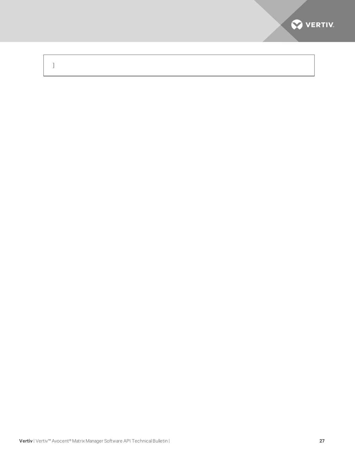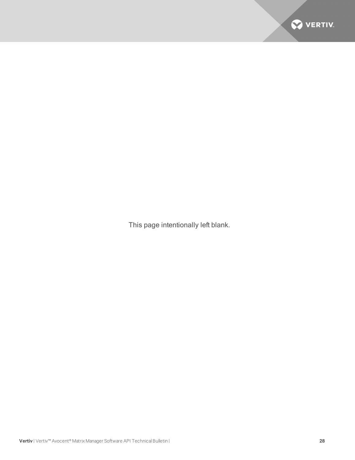

This page intentionally left blank.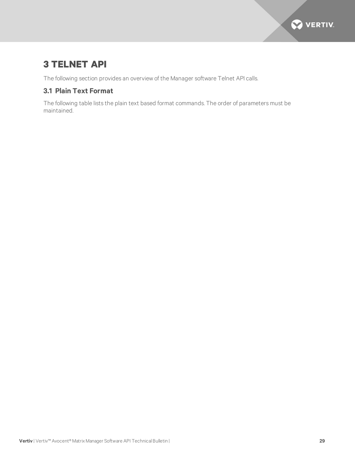

# <span id="page-32-0"></span>**3 TELNET API**

<span id="page-32-1"></span>The following section provides an overview of the Manager software Telnet API calls.

# **3.1 Plain Text Format**

The following table lists the plain text based format commands. The order of parameters must be maintained.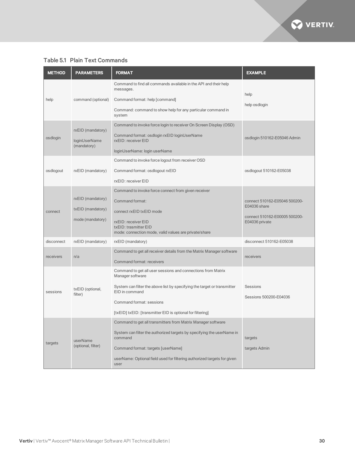

#### Table 5.1 Plain Text Commands

| <b>METHOD</b> | <b>PARAMETERS</b>                                          | <b>FORMAT</b>                                                                                                                                                                                                                                                               | <b>EXAMPLE</b>                                                                                   |
|---------------|------------------------------------------------------------|-----------------------------------------------------------------------------------------------------------------------------------------------------------------------------------------------------------------------------------------------------------------------------|--------------------------------------------------------------------------------------------------|
| help          | command (optional)                                         | Command to find all commands available in the API and their help<br>messages.<br>Command format: help [command]<br>Command: command to show help for any particular command in<br>system                                                                                    | help<br>help osdlogin                                                                            |
| osdlogin      | rxEID (mandatory)<br>loginUserName<br>(mandatory)          | Command to invoke force login to receiver On Screen Display (OSD)<br>Command format: osdlogin rxEID loginUserName<br>rxEID: receiver EID<br>loginUserName: login userName                                                                                                   | osdlogin 510162-E05046 Admin                                                                     |
| osdlogout     | rxEID (mandatory)                                          | Command to invoke force logout from receiver OSD<br>Command format: osdlogout rxEID<br>rxEID: receiver EID                                                                                                                                                                  | osdlogout 510162-E05038                                                                          |
| connect       | rxEID (mandatory)<br>txEID (mandatory)<br>mode (mandatory) | Command to invoke force connect from given receiver<br>Command format:<br>connect rxEID txEID mode<br>rxEID: receiver EID<br>txEID: trasmitter EID<br>mode: connection mode, valid values are private/share                                                                 | connect 510162-E05046 500200-<br>E04036 share<br>connect 510162-E00005 500200-<br>E04036 private |
| disconnect    | rxEID (mandatory)                                          | rxEID (mandatory)                                                                                                                                                                                                                                                           | disconnect 510162-E05038                                                                         |
| receivers     | n/a                                                        | Command to get all receiver details from the Matrix Manager software<br>Command format: receivers                                                                                                                                                                           | receivers                                                                                        |
| sessions      | txEID (optional,<br>filter)                                | Command to get all user sessions and connections from Matrix<br>Manager software<br>System can filter the above list by specifying the target or transmitter<br>EID in command<br>Command format: sessions<br>[txEID] txEID: [transmitter EID is optional for filtering]    | Sessions<br>Sessions 500200-E04036                                                               |
| targets       | userName<br>(optional, filter)                             | Command to get all transmitters from Matrix Manager software<br>System can filter the authorized targets by specifying the userName in<br>command<br>Command format: targets [userName]<br>userName: Optional field used for filtering authorized targets for given<br>user | targets<br>targets Admin                                                                         |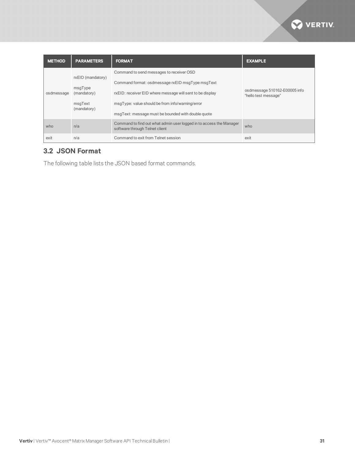

| <b>METHOD</b> | <b>PARAMETERS</b>                                                     | <b>FORMAT</b>                                                                                                                                                                                                                                                       | <b>EXAMPLE</b>                                        |
|---------------|-----------------------------------------------------------------------|---------------------------------------------------------------------------------------------------------------------------------------------------------------------------------------------------------------------------------------------------------------------|-------------------------------------------------------|
| osdmessage    | rxEID (mandatory)<br>msgType<br>(mandatory)<br>msqText<br>(mandatory) | Command to send messages to receiver OSD<br>Command format: osdmessage rxEID msgType msgText<br>rxEID: receiver EID where message will sent to be display<br>msqType: value should be from info/warning/error<br>msqText: message must be bounded with double quote | osdmessage 510162-E00005 info<br>"hello test message" |
| who           | n/a                                                                   | Command to find out what admin user logged in to access the Manager<br>software through Telnet client                                                                                                                                                               | who                                                   |
| exit          | n/a                                                                   | Command to exit from Telnet session                                                                                                                                                                                                                                 | exit                                                  |

# <span id="page-34-0"></span>**3.2 JSON Format**

The following table lists the JSON based format commands.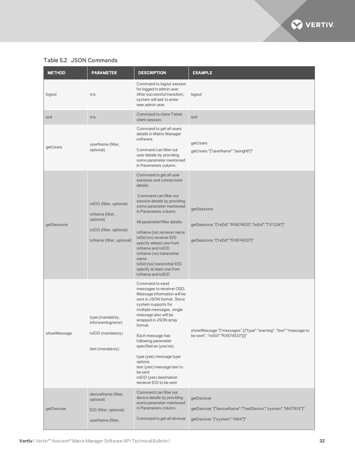

#### Table 5.2 JSON Commands

| <b>METHOD</b> | <b>PARAMETER</b>                                                                                                  | <b>DESCRIPTION</b>                                                                                                                                                                                                                                                                                                                                                                                                                        | <b>EXAMPLE</b>                                                                                             |
|---------------|-------------------------------------------------------------------------------------------------------------------|-------------------------------------------------------------------------------------------------------------------------------------------------------------------------------------------------------------------------------------------------------------------------------------------------------------------------------------------------------------------------------------------------------------------------------------------|------------------------------------------------------------------------------------------------------------|
| logout        | n/a                                                                                                               | Command to logout session<br>for logged in admin user.<br>After successful transition,<br>system will ask to enter<br>new admin user.                                                                                                                                                                                                                                                                                                     | logout                                                                                                     |
| exit          | n/a                                                                                                               | Command to close Telnet<br>client session.                                                                                                                                                                                                                                                                                                                                                                                                | exit                                                                                                       |
| getUsers      | userName (filter,<br>optional)                                                                                    | Command to get all users<br>details in Matrix Manager<br>software.<br>Command can filter out<br>user details by providing<br>some parameter mentioned<br>in Parameters column.                                                                                                                                                                                                                                                            | getUsers<br>getUsers "{"userName":"asingh6"}"                                                              |
| getSessions   | rxEID (filter, optional)<br>rxName (filter,<br>optional)<br>txEID (filter, optional)<br>txName (filter, optional) | Command to get all user<br>sessions and connections<br>details.<br>Command can filter out<br>session details by providing<br>some parameter mentioned<br>in Parameters column.<br>All parameter/filter details:<br>rxName (no) receiver name<br>rxEid (no) receiver EID<br>specify atleast one from<br>rxName and rxEID<br>txName (no) transmitter<br>name<br>txEid (no) transmitter EID<br>specify at least one from<br>txName and txEID | getSessions<br>getSessions "{"rxEid":"RX674533","txEid":"TX1234"}"<br>getSessions "{"rxEid":"RX674533"}"   |
| showMessage   | type (mandatory,<br>info/warning/error)<br>rxEID (mandatory)<br>text (mandatory)                                  | Command to send<br>messages to receiver OSD.<br>Message information will be<br>sent in JSON format. Since<br>system supports for<br>multiple messages, single<br>message also will be<br>wrapped in JSON array<br>format.<br>Each message has<br>following parameter<br>specified as (yes/no).<br>type (yes) message type<br>options<br>text (yes) message text to<br>be sent<br>rxEID (yes) destination<br>reciever EID to be sent       | showMessage "{"messages": [{"type": "warning", "text": "message to<br>be sent", "rxEid":"RX674533"}]}"     |
| getDevices    | deviceName (filter,<br>optional)<br>EID (filter, optional)<br>userName (filter,                                   | Command can filter out<br>device details by providing<br>some parameter mentioned<br>in Parameters column.<br>Command to get all devices                                                                                                                                                                                                                                                                                                  | getDevices<br>getDevices "{"deviceName":"TestDevice", "system":"MATRIX"}"<br>getDevices "{"system":"AMX"}" |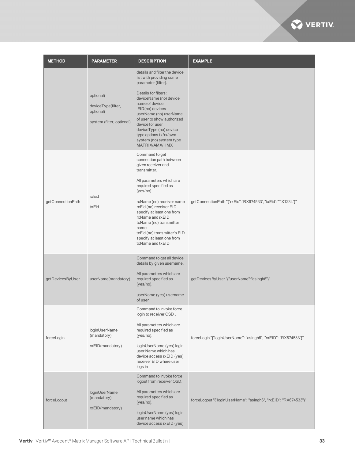

| <b>METHOD</b>     | <b>PARAMETER</b>                                                          | <b>DESCRIPTION</b>                                                                                                                                                                                                                                                                                                                                                             | <b>EXAMPLE</b>                                                  |
|-------------------|---------------------------------------------------------------------------|--------------------------------------------------------------------------------------------------------------------------------------------------------------------------------------------------------------------------------------------------------------------------------------------------------------------------------------------------------------------------------|-----------------------------------------------------------------|
|                   | optional)<br>deviceType(filter,<br>optional)<br>system (filter, optional) | details and filter the device<br>list with providing some<br>parameter (filter).<br>Details for filters:<br>deviceName (no) device<br>name of device<br>EID(no) devices<br>userName (no) userName<br>of user to show authorized<br>device for user<br>deviceType (no) device<br>type options tx/rx/swx<br>system (no) system type<br>MATRIX/AMX/HMX                            |                                                                 |
| getConnectionPath | rxEid<br>txEid                                                            | Command to get<br>connection path between<br>given receiver and<br>transmitter.<br>All parameters which are<br>required specified as<br>(yes/no).<br>rxName (no) receiver name<br>rxEid (no) receiver EID<br>specify at least one from<br>rxName and rxEID<br>txName (no) transmitter<br>name<br>txEid (no) transmitter's EID<br>specify at least one from<br>txName and txEID | getConnectionPath "{"rxEid": "RX674533", "txEid": "TX1234"}"    |
| getDevicesByUser  | userName(mandatory)                                                       | Command to get all device<br>details by given username.<br>All parameters which are<br>required specified as<br>(yes/no).<br>userName (yes) username<br>of user                                                                                                                                                                                                                | getDevicesByUser "{"userName":"asingh6"}"                       |
| forceLogin        | loginUserName<br>(mandatory)<br>rxEID(mandatory)                          | Command to invoke force<br>login to receiver OSD.<br>All parameters which are<br>required specified as<br>(yes/no).<br>loginUserName (yes) login<br>user Name which has<br>device access rxEID (yes)<br>receiver EID where user<br>logs in                                                                                                                                     | forceLogin "{"loginUserName": "asingh6", "rxEID": "RX674533"}"  |
| forceLogout       | loginUserName<br>(mandatory)<br>rxEID(mandatory)                          | Command to invoke force<br>logout from receiver OSD.<br>All parameters which are<br>required specified as<br>(yes/no).<br>loginUserName (yes) login<br>user name which has<br>device access rxEID (yes)                                                                                                                                                                        | forceLogout "{"loginUserName": "asingh6", "rxEID": "RX674533"}" |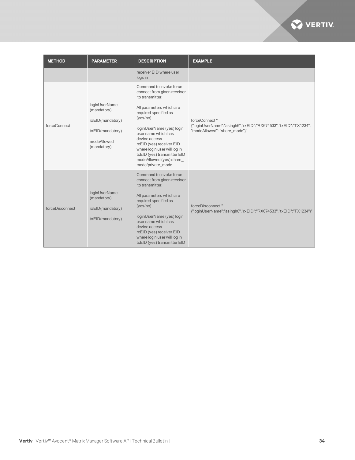

| <b>METHOD</b>   | <b>PARAMETER</b>                                                                                   | <b>DESCRIPTION</b>                                                                                                                                                                                                                                                                                                                                          | <b>EXAMPLE</b>                                                                                                    |
|-----------------|----------------------------------------------------------------------------------------------------|-------------------------------------------------------------------------------------------------------------------------------------------------------------------------------------------------------------------------------------------------------------------------------------------------------------------------------------------------------------|-------------------------------------------------------------------------------------------------------------------|
|                 |                                                                                                    | receiver EID where user<br>logs in                                                                                                                                                                                                                                                                                                                          |                                                                                                                   |
| forceConnect    | loginUserName<br>(mandatory)<br>rxEID(mandatory)<br>txEID(mandatory)<br>modeAllowed<br>(mandatory) | Command to invoke force<br>connect from given receiver<br>to transmitter.<br>All parameters which are<br>required specified as<br>(yes/no).<br>loginUserName (yes) login<br>user name which has<br>device access<br>rxEID (yes) receiver EID<br>where login user will log in<br>txEID (yes) transmitter EID<br>modeAllowed (yes) share<br>mode/private mode | forceConnect"<br>{"loginUserName":"asingh6","rxEID":"RX674533","txEID":"TX1234",<br>"modeAllowed": "share mode"}" |
| forceDisconnect | loginUserName<br>(mandatory)<br>rxEID(mandatory)<br>txEID(mandatory)                               | Command to invoke force<br>connect from given receiver<br>to transmitter.<br>All parameters which are<br>required specified as<br>(yes/no).<br>loginUserName (yes) login<br>user name which has<br>device access<br>rxEID (yes) receiver EID<br>where login user will log in<br>txEID (yes) transmitter EID                                                 | forceDisconnect"<br>{"loginUserName":"asingh6","rxEID":"RX674533","txEID":"TX1234"}"                              |